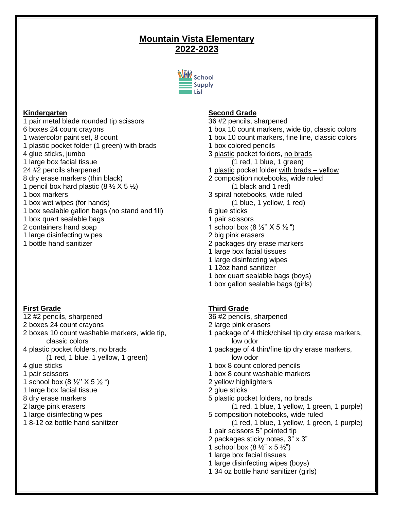# **Mountain Vista Elementary 2022-2023**



# **Kindergarten**

1 pair metal blade rounded tip scissors 6 boxes 24 count crayons 1 watercolor paint set, 8 count 1 plastic pocket folder (1 green) with brads 4 glue sticks, jumbo 1 large box facial tissue 24 #2 pencils sharpened 8 dry erase markers (thin black) 1 pencil box hard plastic  $(8 \frac{1}{2} \times 5 \frac{1}{2})$ 1 box markers 1 box wet wipes (for hands) 1 box sealable gallon bags (no stand and fill) 1 box quart sealable bags 2 containers hand soap 1 large disinfecting wipes 1 bottle hand sanitizer

# **First Grade**

- 12 #2 pencils, sharpened
- 2 boxes 24 count crayons
- 2 boxes 10 count washable markers, wide tip, classic colors
- 4 plastic pocket folders, no brads
	- (1 red, 1 blue, 1 yellow, 1 green)
- 4 glue sticks
- 1 pair scissors
- 1 school box (8  $\frac{1}{2}$ " X 5  $\frac{1}{2}$ ")
- 1 large box facial tissue
- 8 dry erase markers
- 2 large pink erasers
- 1 large disinfecting wipes
- 1 8-12 oz bottle hand sanitizer

# **Second Grade**

- 36 #2 pencils, sharpened
- 1 box 10 count markers, wide tip, classic colors
- 1 box 10 count markers, fine line, classic colors
- 1 box colored pencils
- 3 plastic pocket folders, no brads (1 red, 1 blue, 1 green)
- 1 plastic pocket folder with brads yellow
- 2 composition notebooks, wide ruled (1 black and 1 red)
- 3 spiral notebooks, wide ruled
	- (1 blue, 1 yellow, 1 red)
- 6 glue sticks
- 1 pair scissors
- 1 school box  $(8 \frac{1}{2}$ "  $\times$  5  $\frac{1}{2}$ ")
- 2 big pink erasers
- 2 packages dry erase markers
- 1 large box facial tissues
- 1 large disinfecting wipes
- 1 12oz hand sanitizer
- 1 box quart sealable bags (boys)
- 1 box gallon sealable bags (girls)

# **Third Grade**

- 36 #2 pencils, sharpened
- 2 large pink erasers
- 1 package of 4 thick/chisel tip dry erase markers, low odor
- 1 package of 4 thin/fine tip dry erase markers, low odor
- 1 box 8 count colored pencils
- 1 box 8 count washable markers
- 2 yellow highlighters
- 2 glue sticks
- 5 plastic pocket folders, no brads

(1 red, 1 blue, 1 yellow, 1 green, 1 purple) 5 composition notebooks, wide ruled

- (1 red, 1 blue, 1 yellow, 1 green, 1 purple)
- 1 pair scissors 5" pointed tip
- 2 packages sticky notes, 3" x 3"
- 1 school box  $(8 \frac{1}{2} x)$  x 5  $\frac{1}{2} x$ )
- 1 large box facial tissues
- 1 large disinfecting wipes (boys)
- 1 34 oz bottle hand sanitizer (girls)